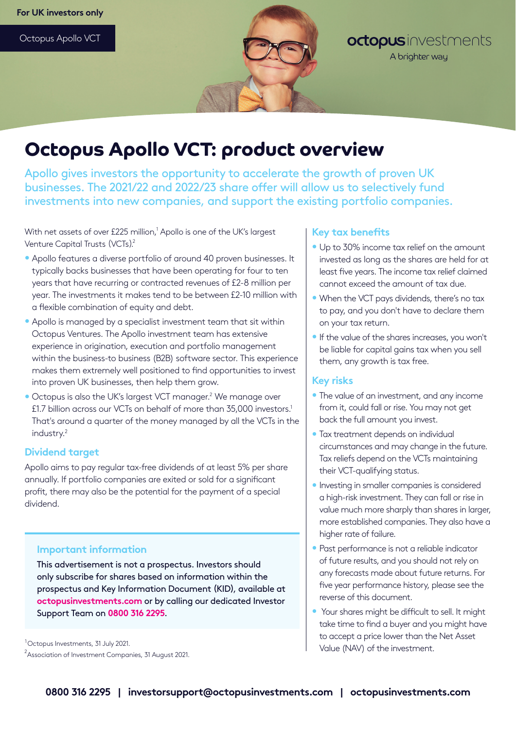Octopus Apollo VCT



## octopusinvestments A brighter way

# **Octopus Apollo VCT: product overview**

Apollo gives investors the opportunity to accelerate the growth of proven UK businesses. The 2021/22 and 2022/23 share offer will allow us to selectively fund investments into new companies, and support the existing portfolio companies.

With net assets of over £225 million, $^1$  Apollo is one of the UK's largest Venture Capital Trusts (VCTs).<sup>2</sup>

- Apollo features a diverse portfolio of around 40 proven businesses. It typically backs businesses that have been operating for four to ten years that have recurring or contracted revenues of £2-8 million per year. The investments it makes tend to be between £2-10 million with a flexible combination of equity and debt.
- Apollo is managed by a specialist investment team that sit within Octopus Ventures. The Apollo investment team has extensive experience in origination, execution and portfolio management within the business-to business (B2B) software sector. This experience makes them extremely well positioned to find opportunities to invest into proven UK businesses, then help them grow.
- Octopus is also the UK's largest VCT manager.<sup>2</sup> We manage over £1.7 billion across our VCTs on behalf of more than 35,000 investors.<sup>1</sup> That's around a quarter of the money managed by all the VCTs in the industry.<sup>2</sup>

## **Dividend target**

Apollo aims to pay regular tax-free dividends of at least 5% per share annually. If portfolio companies are exited or sold for a significant profit, there may also be the potential for the payment of a special dividend.

## **Important information**

This advertisement is not a prospectus. Investors should only subscribe for shares based on information within the prospectus and Key Information Document (KID), available at **octopusinvestments.com** or by calling our dedicated Investor Support Team on **0800 316 2295**.

<sup>1</sup> Octopus Investments, 31 July 2021.

 $^2$ Association of Investment Companies, 31 August 2021.

## **Key tax benefits**

- Up to 30% income tax relief on the amount invested as long as the shares are held for at least five years. The income tax relief claimed cannot exceed the amount of tax due.
- When the VCT pays dividends, there's no tax to pay, and you don't have to declare them on your tax return.
- If the value of the shares increases, you won't be liable for capital gains tax when you sell them, any growth is tax free.

## **Key risks**

- The value of an investment, and any income from it, could fall or rise. You may not get back the full amount you invest.
- Tax treatment depends on individual circumstances and may change in the future. Tax reliefs depend on the VCTs maintaining their VCT-qualifying status.
- Investing in smaller companies is considered a high-risk investment. They can fall or rise in value much more sharply than shares in larger, more established companies. They also have a higher rate of failure.
- Past performance is not a reliable indicator of future results, and you should not rely on any forecasts made about future returns. For five year performance history, please see the reverse of this document.
- Your shares might be difficult to sell. It might take time to find a buyer and you might have to accept a price lower than the Net Asset Value (NAV) of the investment.